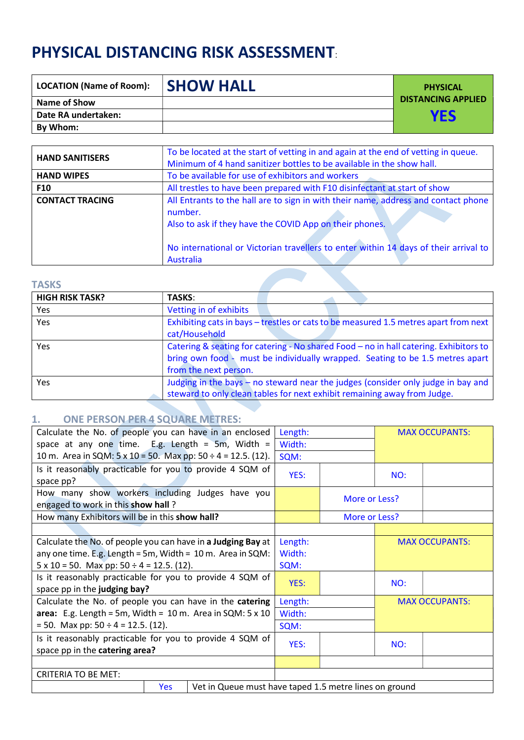# PHYSICAL DISTANCING RISK ASSESSMENT:

| <b>LOCATION (Name of Room):</b> | <b>ISHOW HALL</b> | <b>PHYSICAL</b>           |
|---------------------------------|-------------------|---------------------------|
| Name of Show                    |                   | <b>DISTANCING APPLIED</b> |
| Date RA undertaken:             |                   | YES                       |
| By Whom:                        |                   |                           |

| <b>HAND SANITISERS</b> | To be located at the start of vetting in and again at the end of vetting in queue.<br>Minimum of 4 hand sanitizer bottles to be available in the show hall.                                                                                                   |  |  |
|------------------------|---------------------------------------------------------------------------------------------------------------------------------------------------------------------------------------------------------------------------------------------------------------|--|--|
| <b>HAND WIPES</b>      | To be available for use of exhibitors and workers                                                                                                                                                                                                             |  |  |
| <b>F10</b>             | All trestles to have been prepared with F10 disinfectant at start of show                                                                                                                                                                                     |  |  |
| <b>CONTACT TRACING</b> | All Entrants to the hall are to sign in with their name, address and contact phone<br>number.<br>Also to ask if they have the COVID App on their phones.<br>No international or Victorian travellers to enter within 14 days of their arrival to<br>Australia |  |  |
| <b>TASKS</b>           |                                                                                                                                                                                                                                                               |  |  |

#### **TASKS**

| <b>HIGH RISK TASK?</b> | <b>TASKS:</b>                                                                                                                                                                                   |
|------------------------|-------------------------------------------------------------------------------------------------------------------------------------------------------------------------------------------------|
| <b>Yes</b>             | Vetting in of exhibits                                                                                                                                                                          |
| Yes                    | Exhibiting cats in bays – trestles or cats to be measured 1.5 metres apart from next<br>cat/Household                                                                                           |
| <b>Yes</b>             | Catering & seating for catering - No shared Food - no in hall catering. Exhibitors to<br>bring own food - must be individually wrapped. Seating to be 1.5 metres apart<br>from the next person. |
| <b>Yes</b>             | Judging in the bays – no steward near the judges (consider only judge in bay and<br>steward to only clean tables for next exhibit remaining away from Judge.                                    |

**Contract Contract** 

# 1. ONE PERSON PER 4 SQUARE METRES:

| Calculate the No. of people you can have in an enclosed                    | Length:       |                       | <b>MAX OCCUPANTS:</b> |                       |  |
|----------------------------------------------------------------------------|---------------|-----------------------|-----------------------|-----------------------|--|
| space at any one time. E.g. Length = 5m, Width =                           | Width:        |                       |                       |                       |  |
| 10 m. Area in SQM: $5 \times 10 = 50$ . Max pp: $50 \div 4 = 12.5$ . (12). | SQM:          |                       |                       |                       |  |
| Is it reasonably practicable for you to provide 4 SQM of                   | YES:          |                       | NO:                   |                       |  |
| space pp?                                                                  |               |                       |                       |                       |  |
| How many show workers including Judges have you                            | More or Less? |                       |                       |                       |  |
| engaged to work in this show hall?                                         |               |                       |                       |                       |  |
| How many Exhibitors will be in this show hall?                             |               | More or Less?         |                       |                       |  |
|                                                                            |               |                       |                       |                       |  |
| Calculate the No. of people you can have in a Judging Bay at               | Length:       | <b>MAX OCCUPANTS:</b> |                       |                       |  |
| any one time. E.g. Length = 5m, Width = $10$ m. Area in SQM:               | Width:        |                       |                       |                       |  |
| $5 \times 10 = 50$ . Max pp: $50 \div 4 = 12.5$ . (12).                    | SQM:          |                       |                       |                       |  |
| Is it reasonably practicable for you to provide 4 SQM of                   | YES:          |                       | NO:                   |                       |  |
| space pp in the judging bay?                                               |               |                       |                       |                       |  |
| Calculate the No. of people you can have in the catering                   | Length:       |                       |                       | <b>MAX OCCUPANTS:</b> |  |
| area: E.g. Length = 5m, Width = 10 m. Area in SQM: $5 \times 10$           | Width:        |                       |                       |                       |  |
| $= 50$ . Max pp: 50 $\div$ 4 = 12.5. (12).                                 | SQM:          |                       |                       |                       |  |
| Is it reasonably practicable for you to provide 4 SQM of                   | YES:          |                       | NO:                   |                       |  |
| space pp in the catering area?                                             |               |                       |                       |                       |  |
|                                                                            |               |                       |                       |                       |  |
| <b>CRITERIA TO BE MET:</b>                                                 |               |                       |                       |                       |  |
| Vet in Queue must have taned 1.5 metre lines on ground<br><b>Yes</b>       |               |                       |                       |                       |  |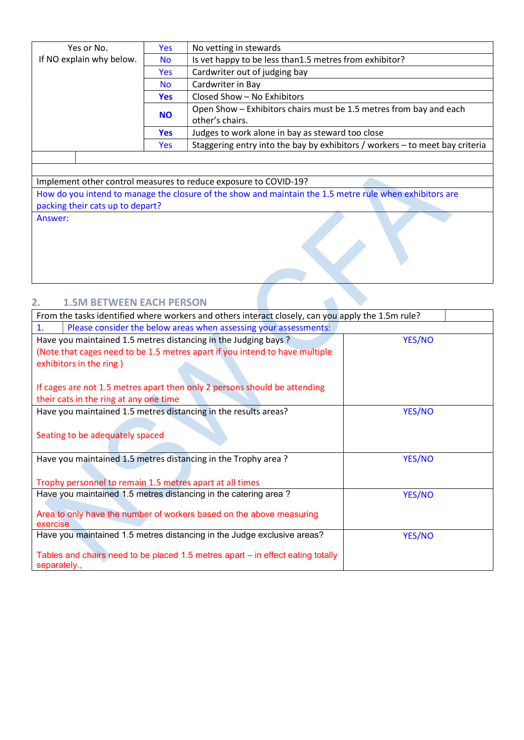| Yes or No.               | <b>Yes</b> | No vetting in stewards                                                       |
|--------------------------|------------|------------------------------------------------------------------------------|
| If NO explain why below. | <b>No</b>  | Is vet happy to be less than 1.5 metres from exhibitor?                      |
|                          | <b>Yes</b> | Cardwriter out of judging bay                                                |
|                          | <b>No</b>  | Cardwriter in Bay                                                            |
|                          | <b>Yes</b> | Closed Show - No Exhibitors                                                  |
|                          | <b>NO</b>  | Open Show - Exhibitors chairs must be 1.5 metres from bay and each           |
|                          |            | other's chairs.                                                              |
|                          | <b>Yes</b> | Judges to work alone in bay as steward too close                             |
|                          | Yes        | Staggering entry into the bay by exhibitors / workers - to meet bay criteria |
|                          |            |                                                                              |

Implement other control measures to reduce exposure to COVID-19? How do you intend to manage the closure of the show and maintain the 1.5 metre rule when exhibitors are packing their cats up to depart? Answer:

## 2. 1.5M BETWEEN EACH PERSON

| From the tasks identified where workers and others interact closely, can you apply the 1.5m rule? |        |
|---------------------------------------------------------------------------------------------------|--------|
| Please consider the below areas when assessing your assessments:<br>1.                            |        |
| Have you maintained 1.5 metres distancing in the Judging bays?                                    | YES/NO |
| (Note that cages need to be 1.5 metres apart if you intend to have multiple                       |        |
| exhibitors in the ring)                                                                           |        |
|                                                                                                   |        |
| If cages are not 1.5 metres apart then only 2 persons should be attending                         |        |
| their cats in the ring at any one time                                                            |        |
| Have you maintained 1.5 metres distancing in the results areas?                                   | YES/NO |
|                                                                                                   |        |
| Seating to be adequately spaced                                                                   |        |
|                                                                                                   |        |
| Have you maintained 1.5 metres distancing in the Trophy area?                                     | YES/NO |
|                                                                                                   |        |
| Trophy personnel to remain 1.5 metres apart at all times                                          |        |
| Have you maintained 1.5 metres distancing in the catering area?                                   | YES/NO |
|                                                                                                   |        |
| Area to only have the number of workers based on the above measuring<br>exercise                  |        |
| Have you maintained 1.5 metres distancing in the Judge exclusive areas?                           | YES/NO |
|                                                                                                   |        |
| Tables and chairs need to be placed 1.5 metres apart – in effect eating totally                   |        |
| separately.,                                                                                      |        |